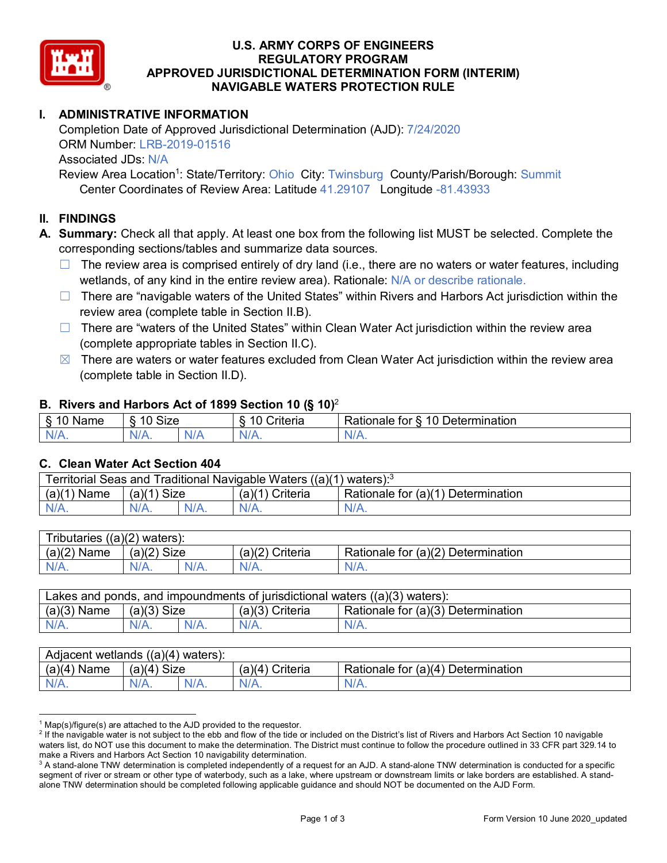

### **U.S. ARMY CORPS OF ENGINEERS REGULATORY PROGRAM APPROVED JURISDICTIONAL DETERMINATION FORM (INTERIM) NAVIGABLE WATERS PROTECTION RULE**

## **I. ADMINISTRATIVE INFORMATION**

Completion Date of Approved Jurisdictional Determination (AJD): 7/24/2020 ORM Number: LRB-2019-01516 Associated JDs: N/A Review Area Location<sup>1</sup>: State/Territory: Ohio City: Twinsburg County/Parish/Borough: Summit

Center Coordinates of Review Area: Latitude 41.29107 Longitude -81.43933

### **II. FINDINGS**

**A. Summary:** Check all that apply. At least one box from the following list MUST be selected. Complete the corresponding sections/tables and summarize data sources.

- $\Box$  The review area is comprised entirely of dry land (i.e., there are no waters or water features, including wetlands, of any kind in the entire review area). Rationale: N/A or describe rationale.
- $\Box$  There are "navigable waters of the United States" within Rivers and Harbors Act jurisdiction within the review area (complete table in Section II.B).
- $\Box$  There are "waters of the United States" within Clean Water Act jurisdiction within the review area (complete appropriate tables in Section II.C).
- $\boxtimes$  There are waters or water features excluded from Clean Water Act jurisdiction within the review area (complete table in Section II.D).

#### **B. Rivers and Harbors Act of 1899 Section 10 (§ 10)**<sup>2</sup>

| $\cdot$         |                                |     |                       |                                                                     |  |
|-----------------|--------------------------------|-----|-----------------------|---------------------------------------------------------------------|--|
| Name<br>'U<br>. | Size<br>$\Delta$ $\cap$<br>. . |     | . .<br>10<br>Criteria | $\overline{\phantom{a}}$<br>10<br>Determination<br>≺atıonale<br>tor |  |
| N/I             | N/A.                           | N/A | ٠м.<br>17.            | $N/\sim$                                                            |  |

#### **C. Clean Water Act Section 404**

| Traditional Navigable Waters ((a)(1)<br>l Seas and<br>Γerritorial<br>waters): <sup>3</sup> |                |  |                    |                                            |  |
|--------------------------------------------------------------------------------------------|----------------|--|--------------------|--------------------------------------------|--|
| $(a)$ $(1)$<br>Name                                                                        | Size<br>(a)(1) |  | Criteria<br>(a)(1) | Rationale for $(a)(1)$<br>1) Determination |  |
|                                                                                            | $N/A$ .        |  | $N/A$ .            | $N/A$ .                                    |  |

| $((a)(2)$ waters):<br><b>Tributaries</b> |                |         |                    |                                    |  |
|------------------------------------------|----------------|---------|--------------------|------------------------------------|--|
| $(a)(2)$ Name                            | (a)(2)<br>Size |         | (a)(2)<br>Criteria | Rationale for (a)(2) Determination |  |
| $N/A$ .                                  | $N/A$ .        | $N/A$ . | $N/A$ .            | $N/A$ .                            |  |

| Lakes and ponds, and impoundments of jurisdictional waters $((a)(3)$ waters): |               |  |                   |                                    |  |
|-------------------------------------------------------------------------------|---------------|--|-------------------|------------------------------------|--|
| $(a)(3)$ Name                                                                 | $(a)(3)$ Size |  | $(a)(3)$ Criteria | Rationale for (a)(3) Determination |  |
| $N/A$ .                                                                       | $N/A$ .       |  | $N/A$ .           | $N/A$ .                            |  |

| Adjacent wetlands $((a)(4)$ waters): |                |         |                    |                                         |  |  |
|--------------------------------------|----------------|---------|--------------------|-----------------------------------------|--|--|
| (a)(4)<br>∖ Name                     | (a)(4)<br>Size |         | Criteria<br>(a)(4) | Rationale for (a)(4) D<br>Determination |  |  |
| N/A.                                 | N/A.           | $N/A$ . |                    | $N/A$ .                                 |  |  |

 $1$  Map(s)/figure(s) are attached to the AJD provided to the requestor.

<sup>&</sup>lt;sup>2</sup> If the navigable water is not subject to the ebb and flow of the tide or included on the District's list of Rivers and Harbors Act Section 10 navigable waters list, do NOT use this document to make the determination. The District must continue to follow the procedure outlined in 33 CFR part 329.14 to make a Rivers and Harbors Act Section 10 navigability determination.

 $3$  A stand-alone TNW determination is completed independently of a request for an AJD. A stand-alone TNW determination is conducted for a specific segment of river or stream or other type of waterbody, such as a lake, where upstream or downstream limits or lake borders are established. A standalone TNW determination should be completed following applicable guidance and should NOT be documented on the AJD Form.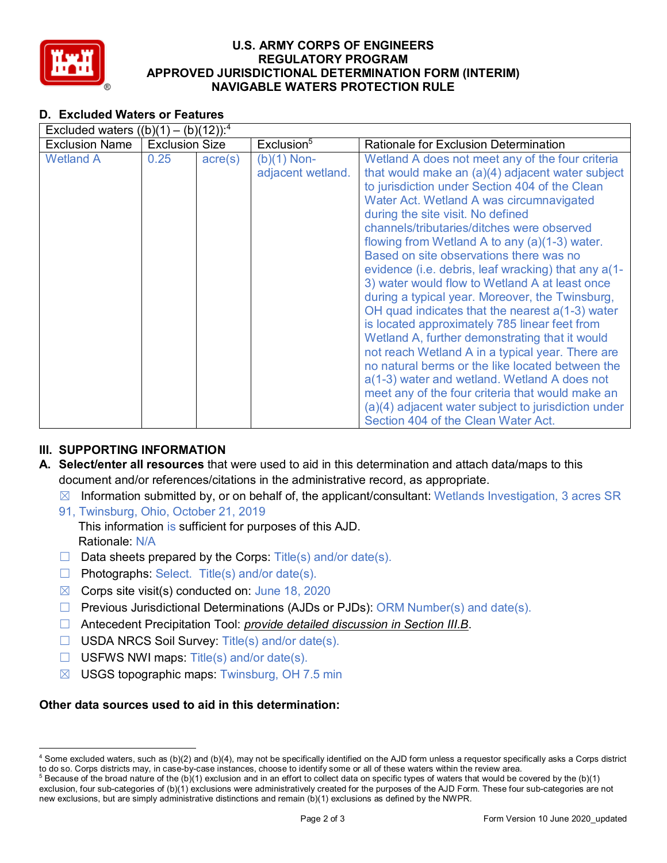

### **U.S. ARMY CORPS OF ENGINEERS REGULATORY PROGRAM APPROVED JURISDICTIONAL DETERMINATION FORM (INTERIM) NAVIGABLE WATERS PROTECTION RULE**

## **D. Excluded Waters or Features**

| Excluded waters $((b)(1) - (b)(12))$ : <sup>4</sup> |                       |                  |                                    |                                                                                                                                                                                                                                                                                                                                                                                                                                                                                                                                                                                                                                                                                                                                                                                                                                                                                                                                                                                                                 |  |  |
|-----------------------------------------------------|-----------------------|------------------|------------------------------------|-----------------------------------------------------------------------------------------------------------------------------------------------------------------------------------------------------------------------------------------------------------------------------------------------------------------------------------------------------------------------------------------------------------------------------------------------------------------------------------------------------------------------------------------------------------------------------------------------------------------------------------------------------------------------------------------------------------------------------------------------------------------------------------------------------------------------------------------------------------------------------------------------------------------------------------------------------------------------------------------------------------------|--|--|
| <b>Exclusion Name</b>                               | <b>Exclusion Size</b> |                  | Exclusion <sup>5</sup>             | <b>Rationale for Exclusion Determination</b>                                                                                                                                                                                                                                                                                                                                                                                                                                                                                                                                                                                                                                                                                                                                                                                                                                                                                                                                                                    |  |  |
| <b>Wetland A</b>                                    | 0.25                  | $\text{acre}(s)$ | $(b)(1)$ Non-<br>adjacent wetland. | Wetland A does not meet any of the four criteria<br>that would make an (a)(4) adjacent water subject<br>to jurisdiction under Section 404 of the Clean<br>Water Act. Wetland A was circumnavigated<br>during the site visit. No defined<br>channels/tributaries/ditches were observed<br>flowing from Wetland A to any (a)(1-3) water.<br>Based on site observations there was no<br>evidence (i.e. debris, leaf wracking) that any a(1-<br>3) water would flow to Wetland A at least once<br>during a typical year. Moreover, the Twinsburg,<br>OH quad indicates that the nearest $a(1-3)$ water<br>is located approximately 785 linear feet from<br>Wetland A, further demonstrating that it would<br>not reach Wetland A in a typical year. There are<br>no natural berms or the like located between the<br>a(1-3) water and wetland. Wetland A does not<br>meet any of the four criteria that would make an<br>(a)(4) adjacent water subject to jurisdiction under<br>Section 404 of the Clean Water Act. |  |  |

### **III. SUPPORTING INFORMATION**

- **A. Select/enter all resources** that were used to aid in this determination and attach data/maps to this document and/or references/citations in the administrative record, as appropriate.
	- $\boxtimes$  Information submitted by, or on behalf of, the applicant/consultant: Wetlands Investigation, 3 acres SR
	- 91, Twinsburg, Ohio, October 21, 2019 This information is sufficient for purposes of this AJD. Rationale: N/A
	- $\Box$  Data sheets prepared by the Corps: Title(s) and/or date(s).
	- $\Box$  Photographs: Select. Title(s) and/or date(s).
	- $\boxtimes$  Corps site visit(s) conducted on: June 18, 2020
	- $\Box$  Previous Jurisdictional Determinations (AJDs or PJDs): ORM Number(s) and date(s).
	- ☐ Antecedent Precipitation Tool: *provide detailed discussion in Section III.B*.
	- ☐ USDA NRCS Soil Survey: Title(s) and/or date(s).
	- $\Box$  USFWS NWI maps: Title(s) and/or date(s).
	- $\boxtimes$  USGS topographic maps: Twinsburg, OH 7.5 min

### **Other data sources used to aid in this determination:**

 <sup>4</sup> Some excluded waters, such as (b)(2) and (b)(4), may not be specifically identified on the AJD form unless a requestor specifically asks a Corps district to do so. Corps districts may, in case-by-case instances, choose to identify some or all of these waters within the review area.

<sup>&</sup>lt;sup>5</sup> Because of the broad nature of the (b)(1) exclusion and in an effort to collect data on specific types of waters that would be covered by the (b)(1) exclusion, four sub-categories of (b)(1) exclusions were administratively created for the purposes of the AJD Form. These four sub-categories are not new exclusions, but are simply administrative distinctions and remain (b)(1) exclusions as defined by the NWPR.